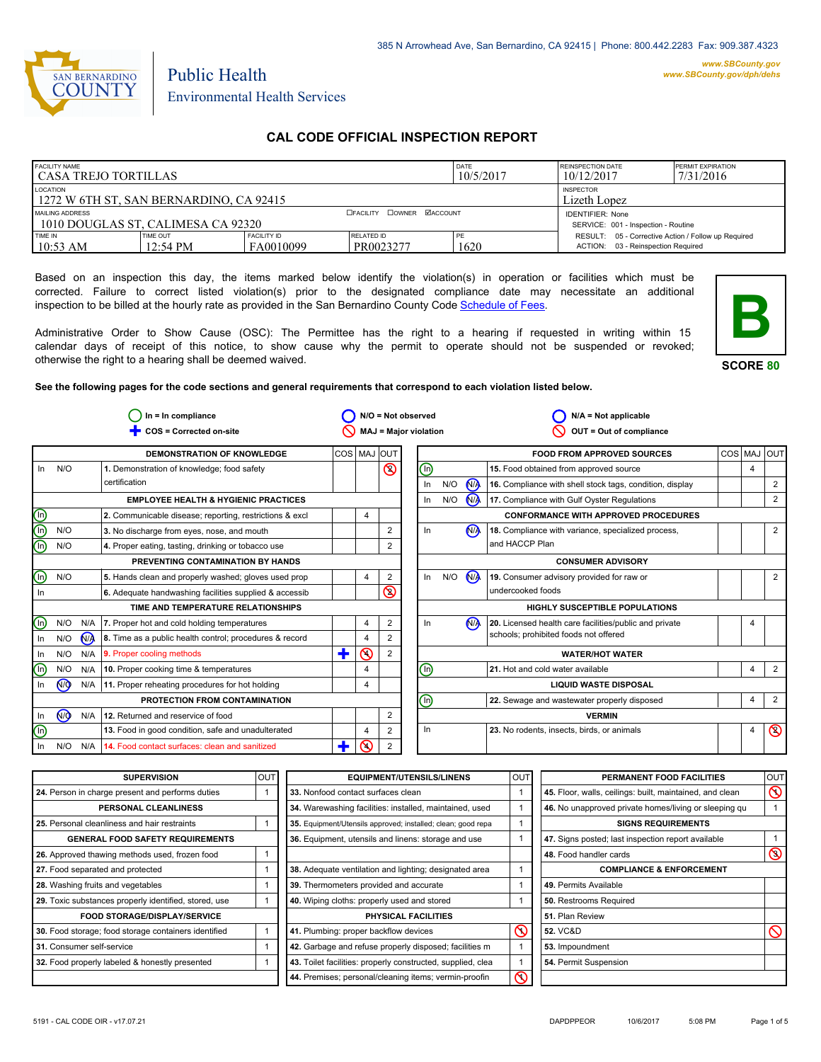

# Environmental Health Services

Public Health

# **CAL CODE OFFICIAL INSPECTION REPORT**

| <b>FACILITY NAME</b><br>l CASA TREJO TORTILLAS                                          |                                |                                 | DATE<br>10/5/2017                | <b>REINSPECTION DATE</b><br>10/12/2017 | <b>PERMIT EXPIRATION</b><br>7/31/2016                                                     |  |  |
|-----------------------------------------------------------------------------------------|--------------------------------|---------------------------------|----------------------------------|----------------------------------------|-------------------------------------------------------------------------------------------|--|--|
| LOCATION<br><b>INSPECTOR</b><br>1272 W 6TH ST. SAN BERNARDINO. CA 92415<br>Lizeth Lopez |                                |                                 |                                  |                                        |                                                                                           |  |  |
| MAILING ADDRESS<br>1010 DOUGLAS ST. CALIMESA CA 92320                                   |                                |                                 | <b>CEACILITY COWNER MACCOUNT</b> |                                        | <b>IDENTIFIER: None</b><br>SERVICE: 001 - Inspection - Routine                            |  |  |
| TIME IN<br>$10:53$ AM                                                                   | TIME OUT<br>$12:54 \text{ PM}$ | <b>FACILITY ID</b><br>FA0010099 | RELATED ID<br>PR0023277          | PE<br>1620                             | RESULT: 05 - Corrective Action / Follow up Required<br>ACTION: 03 - Reinspection Required |  |  |

Based on an inspection this day, the items marked below identify the violation(s) in operation or facilities which must be corrected. Failure to correct listed violation(s) prior to the designated compliance date may necessitate an additional inspection to be billed at the hourly rate as provided in the San Bernardino County Code Schedule [of Fees.](http://www.amlegal.com/nxt/gateway.dll/California/sanbernardinocounty_ca/title1governmentandadministration/division6countyfees/chapter2scheduleoffees?f=templates$fn=default.htm$3.0$vid=amlegal:sanbernardinocounty_ca$anc=JD_16.0213B)

Administrative Order to Show Cause (OSC): The Permittee has the right to a hearing if requested in writing within 15 calendar days of receipt of this notice, to show cause why the permit to operate should not be suspended or revoked; otherwise the right to a hearing shall be deemed waived.



**SCORE 80**

**See the following pages for the code sections and general requirements that correspond to each violation listed below.**

|                                | $In = In$ compliance    |                |                                                         | $N/O = Not observed$         |                |                |  |                              | $N/A = Not applicable$ |                      |                                                          |   |                |
|--------------------------------|-------------------------|----------------|---------------------------------------------------------|------------------------------|----------------|----------------|--|------------------------------|------------------------|----------------------|----------------------------------------------------------|---|----------------|
|                                | COS = Corrected on-site |                |                                                         | <b>MAJ = Major violation</b> |                |                |  | OUT = Out of compliance      |                        |                      |                                                          |   |                |
|                                |                         |                | <b>DEMONSTRATION OF KNOWLEDGE</b>                       |                              |                | COS MAJ OUT    |  |                              |                        |                      | <b>FOOD FROM APPROVED SOURCES</b>                        |   | COS MAJ OUT    |
| $\ln$                          | N/O                     |                | 1. Demonstration of knowledge; food safety              |                              |                | $\circledcirc$ |  | ⊕                            |                        |                      | 15. Food obtained from approved source                   | 4 |                |
|                                |                         |                | certification                                           |                              |                |                |  | In                           | N/O                    | N <sub>A</sub>       | 16. Compliance with shell stock tags, condition, display |   | $\overline{2}$ |
|                                |                         |                | <b>EMPLOYEE HEALTH &amp; HYGIENIC PRACTICES</b>         |                              |                |                |  | In                           | N/O                    | <b>N<sub>A</sub></b> | 17. Compliance with Gulf Oyster Regulations              |   | $\overline{2}$ |
|                                |                         |                | 2. Communicable disease; reporting, restrictions & excl |                              | 4              |                |  |                              |                        |                      | <b>CONFORMANCE WITH APPROVED PROCEDURES</b>              |   |                |
| $\mathop{\mathsf{C}}\nolimits$ | N/O                     |                | 3. No discharge from eyes, nose, and mouth              |                              |                | $\overline{2}$ |  | In                           |                        | N <sub>A</sub>       | 18. Compliance with variance, specialized process,       |   | $\overline{2}$ |
|                                | N/O                     |                | 4. Proper eating, tasting, drinking or tobacco use      |                              |                | 2              |  |                              |                        |                      | and HACCP Plan                                           |   |                |
|                                |                         |                | PREVENTING CONTAMINATION BY HANDS                       |                              |                |                |  |                              |                        |                      | <b>CONSUMER ADVISORY</b>                                 |   |                |
| $\circledcirc$                 | N/O                     |                | 5. Hands clean and properly washed; gloves used prop    |                              | 4              | $\overline{2}$ |  | In                           | N/O                    | $\bigwedge$          | 19. Consumer advisory provided for raw or                |   | $\overline{2}$ |
| In                             |                         |                | 6. Adequate handwashing facilities supplied & accessib  |                              |                | $\circledS$    |  |                              |                        |                      | undercooked foods                                        |   |                |
|                                |                         |                | TIME AND TEMPERATURE RELATIONSHIPS                      |                              |                |                |  |                              |                        |                      | <b>HIGHLY SUSCEPTIBLE POPULATIONS</b>                    |   |                |
| ⓪                              | N/O                     | N/A            | 7. Proper hot and cold holding temperatures             |                              | 4              | $\overline{2}$ |  | In                           |                        | N <sub>A</sub>       | 20. Licensed health care facilities/public and private   |   |                |
| In                             | N/O                     | N <sub>A</sub> | 8. Time as a public health control; procedures & record |                              | 4              | 2              |  |                              |                        |                      | schools; prohibited foods not offered                    |   |                |
| -In                            | N/O                     | N/A            | 9. Proper cooling methods                               | ╋                            | $\circledcirc$ | $\overline{2}$ |  |                              |                        |                      | <b>WATER/HOT WATER</b>                                   |   |                |
| ⑯                              | N/O                     | N/A            | 10. Proper cooking time & temperatures                  |                              | 4              |                |  | ⑯                            |                        |                      | 21. Hot and cold water available                         | 4 | 2              |
| In                             | N <sub>O</sub>          | N/A            | 11. Proper reheating procedures for hot holding         |                              | 4              |                |  | <b>LIQUID WASTE DISPOSAL</b> |                        |                      |                                                          |   |                |
|                                |                         |                | PROTECTION FROM CONTAMINATION                           |                              |                |                |  | ⋒                            |                        |                      | 22. Sewage and wastewater properly disposed              | 4 | 2              |
| - In                           | (ਔ                      | N/A            | 12. Returned and reservice of food                      |                              |                | 2              |  |                              |                        |                      | <b>VERMIN</b>                                            |   |                |
| $\overline{\mathbb{O}}$        |                         |                | 13. Food in good condition, safe and unadulterated      |                              | 4              | $\overline{2}$ |  | In.                          |                        |                      | 23. No rodents, insects, birds, or animals               | 4 | $\circledcirc$ |
| In                             | N/O                     | N/A            | 14. Food contact surfaces: clean and sanitized          |                              | ⋒              | 2              |  |                              |                        |                      |                                                          |   |                |

| <b>SUPERVISION</b>                                    | <b>OUT</b> | <b>EQUIPMENT/UTENSILS/LINENS</b>                             | <b>OUT</b> | PERMANENT FOOD FACILITIES                                | <b>OUT</b>     |
|-------------------------------------------------------|------------|--------------------------------------------------------------|------------|----------------------------------------------------------|----------------|
| 24. Person in charge present and performs duties      |            | 33. Nonfood contact surfaces clean                           |            | 45. Floor, walls, ceilings: built, maintained, and clean | $\circledcirc$ |
| PERSONAL CLEANLINESS                                  |            | 34. Warewashing facilities: installed, maintained, used      |            | 46. No unapproved private homes/living or sleeping gu    |                |
| 25. Personal cleanliness and hair restraints          |            | 35. Equipment/Utensils approved; installed; clean; good repa |            | <b>SIGNS REQUIREMENTS</b>                                |                |
| <b>GENERAL FOOD SAFETY REQUIREMENTS</b>               |            | 36. Equipment, utensils and linens: storage and use          |            | 47. Signs posted; last inspection report available       |                |
| 26. Approved thawing methods used, frozen food        |            |                                                              |            | 48. Food handler cards                                   | $\circledcirc$ |
| 27. Food separated and protected                      |            | 38. Adequate ventilation and lighting; designated area       |            | <b>COMPLIANCE &amp; ENFORCEMENT</b>                      |                |
| 28. Washing fruits and vegetables                     |            | 39. Thermometers provided and accurate                       |            | 49. Permits Available                                    |                |
| 29. Toxic substances properly identified, stored, use |            | 40. Wiping cloths: properly used and stored                  |            | 50. Restrooms Required                                   |                |
| <b>FOOD STORAGE/DISPLAY/SERVICE</b>                   |            | <b>PHYSICAL FACILITIES</b>                                   |            | 51. Plan Review                                          |                |
| 30. Food storage; food storage containers identified  |            | 41. Plumbing: proper backflow devices                        | $\infty$   | <b>52. VC&amp;D</b>                                      | $\circ$        |
| 31. Consumer self-service                             |            | 42. Garbage and refuse properly disposed; facilities m       |            | 53. Impoundment                                          |                |
| 32. Food properly labeled & honestly presented        |            | 43. Toilet facilities: properly constructed, supplied, clea  |            | 54. Permit Suspension                                    |                |
|                                                       |            | 44. Premises; personal/cleaning items; vermin-proofin        | ᠺ          |                                                          |                |
|                                                       |            |                                                              |            |                                                          |                |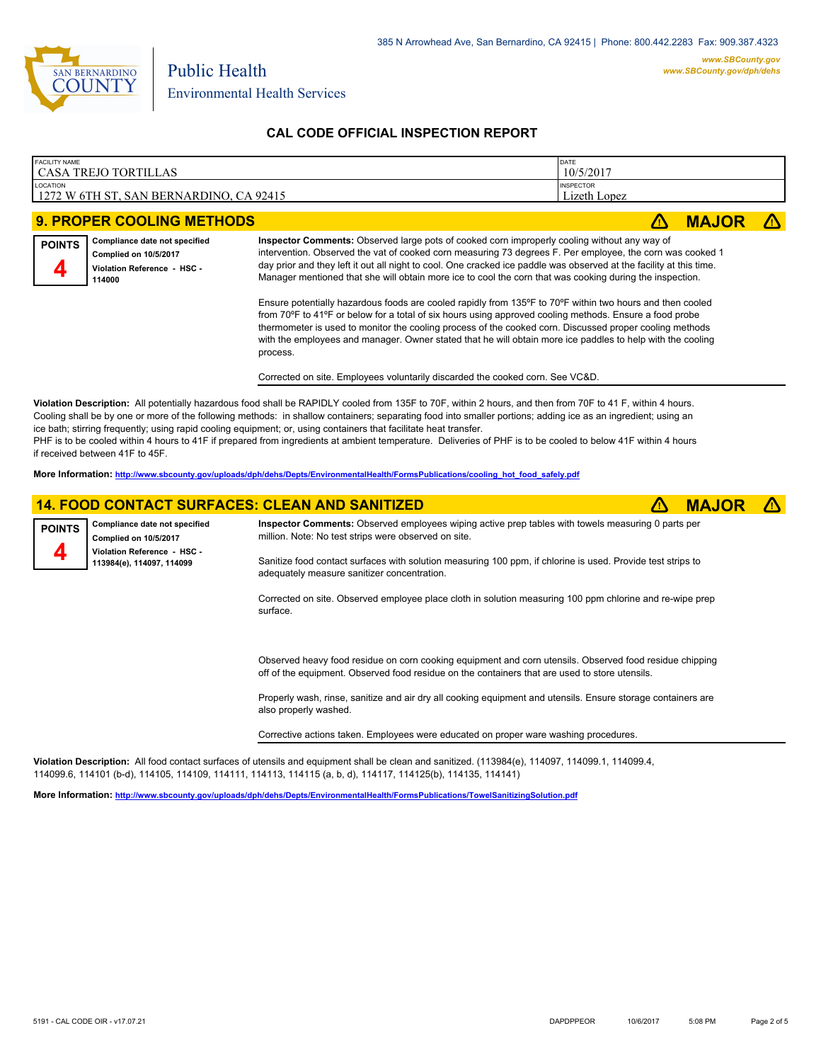

#### **CAL CODE OFFICIAL INSPECTION REPORT**

| <b>FACILITY NAME</b>                                     | <b>DATE</b>                      |
|----------------------------------------------------------|----------------------------------|
| ' CASA TREJO TORTILLAS                                   | 10/5/2017                        |
| LOCATION<br>1272 W 6TH ST.<br>, SAN BERNARDINO, CA 92415 | <b>INSPECTOR</b><br>Lizeth Lopez |

# **9. PROPER COOLING METHODS experience of the experience of the experience of**  $\triangle$  **<b>MAJOR Compliance date not specified POINTS**

| Complied on 10/5/2017       |
|-----------------------------|
| Violation Reference - HSC - |
| 114000                      |

**Inspector Comments:** Observed large pots of cooked corn improperly cooling without any way of intervention. Observed the vat of cooked corn measuring 73 degrees F. Per employee, the corn was cooked 1 day prior and they left it out all night to cool. One cracked ice paddle was observed at the facility at this time. Manager mentioned that she will obtain more ice to cool the corn that was cooking during the inspection.

Ensure potentially hazardous foods are cooled rapidly from 135°F to 70°F within two hours and then cooled from 70ºF to 41ºF or below for a total of six hours using approved cooling methods. Ensure a food probe thermometer is used to monitor the cooling process of the cooked corn. Discussed proper cooling methods with the employees and manager. Owner stated that he will obtain more ice paddles to help with the cooling process.

Corrected on site. Employees voluntarily discarded the cooked corn. See VC&D.

**Violation Description:** All potentially hazardous food shall be RAPIDLY cooled from 135F to 70F, within 2 hours, and then from 70F to 41 F, within 4 hours. Cooling shall be by one or more of the following methods: in shallow containers; separating food into smaller portions; adding ice as an ingredient; using an ice bath; stirring frequently; using rapid cooling equipment; or, using containers that facilitate heat transfer. PHF is to be cooled within 4 hours to 41F if prepared from ingredients at ambient temperature. Deliveries of PHF is to be cooled to below 41F within 4 hours if received between 41F to 45F.

**More Information: [http://www.sbcounty.gov/uploads/dph/dehs/Depts/EnvironmentalHealth/FormsPublications/cooling\\_hot\\_food\\_safely.pdf](http://www.sbcounty.gov/uploads/dph/dehs/Depts/EnvironmentalHealth/FormsPublications/cooling_hot_food_safely.pdf)**

surface.

#### **14. FOOD CONTACT SURFACES: CLEAN AND SANITIZED** ê**! MAJOR** ê**!**

| <b>POINTS</b> | Compliance date not specified<br><b>Complied on 10/5/2017</b> | Inspector Comments: Observed employees wiping active prep tables with towels measuring 0 parts per<br>million. Note: No test strips were observed on site. |
|---------------|---------------------------------------------------------------|------------------------------------------------------------------------------------------------------------------------------------------------------------|
|               | Violation Reference - HSC -<br>113984(e), 114097, 114099      | Sanitize food contact surfaces with solution measuring 100 ppm, if chlorine is used. Provide test strips to<br>adequately measure sanitizer concentration. |
|               |                                                               | Corrected on site. Observed employee place cloth in solution measuring 100 ppm chlorine and re-wipe prep                                                   |

Observed heavy food residue on corn cooking equipment and corn utensils. Observed food residue chipping off of the equipment. Observed food residue on the containers that are used to store utensils.

Properly wash, rinse, sanitize and air dry all cooking equipment and utensils. Ensure storage containers are also properly washed.

Corrective actions taken. Employees were educated on proper ware washing procedures.

**Violation Description:** All food contact surfaces of utensils and equipment shall be clean and sanitized. (113984(e), 114097, 114099.1, 114099.4, 114099.6, 114101 (b-d), 114105, 114109, 114111, 114113, 114115 (a, b, d), 114117, 114125(b), 114135, 114141)

**More Information: <http://www.sbcounty.gov/uploads/dph/dehs/Depts/EnvironmentalHealth/FormsPublications/TowelSanitizingSolution.pdf>**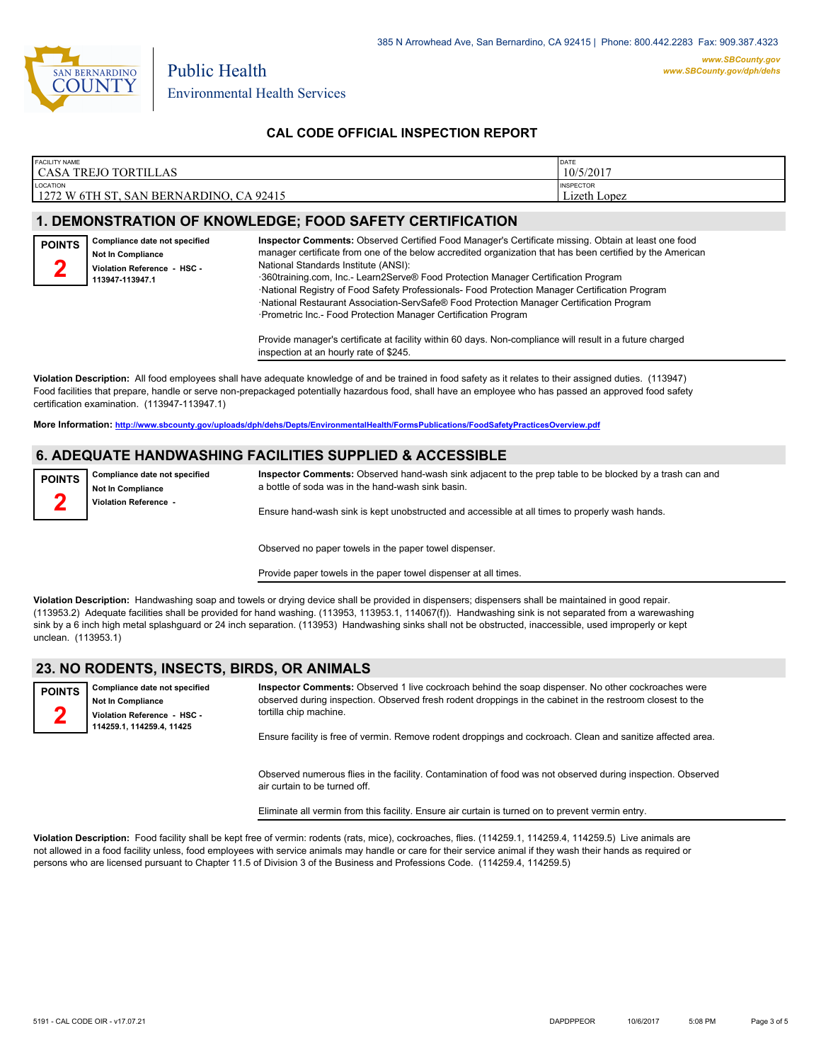

### **CAL CODE OFFICIAL INSPECTION REPORT**

| <b>FACILITY NAME</b><br>CASA TREJO TORTILLAS                       | DATE<br>10/5/2017                |
|--------------------------------------------------------------------|----------------------------------|
| <b>LOCATION</b><br>  1272 W 6TH ST, SAN BERNARDINO,<br>$C_A$ 92415 | <b>INSPECTOR</b><br>Lizeth Lopez |

### **1. DEMONSTRATION OF KNOWLEDGE; FOOD SAFETY CERTIFICATION**

| <b>POINTS</b><br>∽ | Compliance date not specified<br><b>Not In Compliance</b><br>Violation Reference - HSC -<br>113947-113947.1 | Inspector Comments: Observed Certified Food Manager's Certificate missing. Obtain at least one food<br>manager certificate from one of the below accredited organization that has been certified by the American<br>National Standards Institute (ANSI):<br>360training.com, Inc.- Learn2Serve® Food Protection Manager Certification Program<br>·National Registry of Food Safety Professionals- Food Protection Manager Certification Program<br>·National Restaurant Association-ServSafe® Food Protection Manager Certification Program<br>-Prometric Inc.- Food Protection Manager Certification Program |
|--------------------|-------------------------------------------------------------------------------------------------------------|---------------------------------------------------------------------------------------------------------------------------------------------------------------------------------------------------------------------------------------------------------------------------------------------------------------------------------------------------------------------------------------------------------------------------------------------------------------------------------------------------------------------------------------------------------------------------------------------------------------|
|                    |                                                                                                             | Provide manager's certificate at facility within 60 days. Non-compliance will result in a future charged<br>inspection at an hourly rate of \$245.                                                                                                                                                                                                                                                                                                                                                                                                                                                            |

**Violation Description:** All food employees shall have adequate knowledge of and be trained in food safety as it relates to their assigned duties. (113947) Food facilities that prepare, handle or serve non-prepackaged potentially hazardous food, shall have an employee who has passed an approved food safety certification examination. (113947-113947.1)

**More Information: <http://www.sbcounty.gov/uploads/dph/dehs/Depts/EnvironmentalHealth/FormsPublications/FoodSafetyPracticesOverview.pdf>**

#### **6. ADEQUATE HANDWASHING FACILITIES SUPPLIED & ACCESSIBLE**

**Compliance date not specified Not In Compliance Violation Reference - POINTS 2**

**Inspector Comments:** Observed hand-wash sink adjacent to the prep table to be blocked by a trash can and a bottle of soda was in the hand-wash sink basin.

Ensure hand-wash sink is kept unobstructed and accessible at all times to properly wash hands.

Observed no paper towels in the paper towel dispenser.

Provide paper towels in the paper towel dispenser at all times.

**Violation Description:** Handwashing soap and towels or drying device shall be provided in dispensers; dispensers shall be maintained in good repair. (113953.2) Adequate facilities shall be provided for hand washing. (113953, 113953.1, 114067(f)). Handwashing sink is not separated from a warewashing sink by a 6 inch high metal splashguard or 24 inch separation. (113953) Handwashing sinks shall not be obstructed, inaccessible, used improperly or kept unclean. (113953.1)

#### **23. NO RODENTS, INSECTS, BIRDS, OR ANIMALS**

**Compliance date not specified Not In Compliance Violation Reference - HSC - 114259.1, 114259.4, 11425**

**POINTS 2**

**Inspector Comments:** Observed 1 live cockroach behind the soap dispenser. No other cockroaches were observed during inspection. Observed fresh rodent droppings in the cabinet in the restroom closest to the tortilla chip machine.

Ensure facility is free of vermin. Remove rodent droppings and cockroach. Clean and sanitize affected area.

Observed numerous flies in the facility. Contamination of food was not observed during inspection. Observed air curtain to be turned off.

Eliminate all vermin from this facility. Ensure air curtain is turned on to prevent vermin entry.

**Violation Description:** Food facility shall be kept free of vermin: rodents (rats, mice), cockroaches, flies. (114259.1, 114259.4, 114259.5) Live animals are not allowed in a food facility unless, food employees with service animals may handle or care for their service animal if they wash their hands as required or persons who are licensed pursuant to Chapter 11.5 of Division 3 of the Business and Professions Code. (114259.4, 114259.5)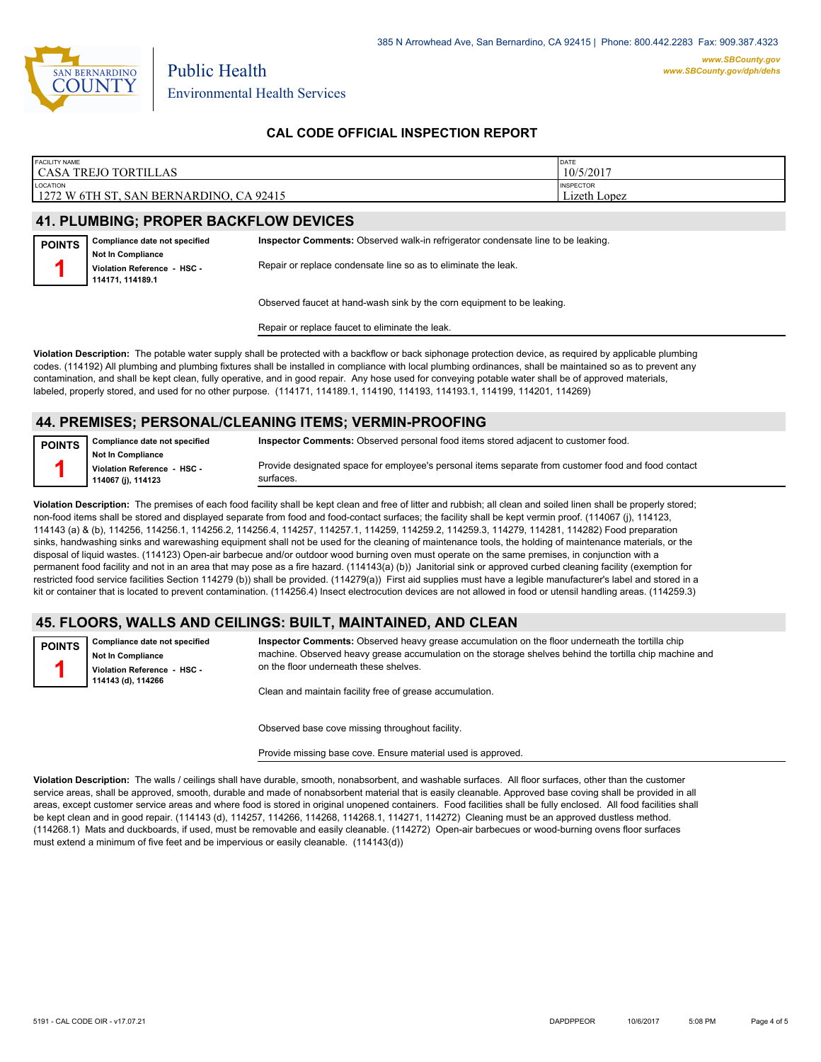

Environmental Health Services

Public Health

## **CAL CODE OFFICIAL INSPECTION REPORT**

| <b>FACILITY NAME</b><br>CASA<br>\ TREJO TORTIL<br>'ILLAS                            | <b>DATE</b><br>10/5/2017         |
|-------------------------------------------------------------------------------------|----------------------------------|
| <b>LOCATION</b><br>1272 W 6TH ST,<br><b>BERNARDINO,</b><br>. CA 92415<br><b>SAN</b> | <b>INSPECTOR</b><br>Lizeth Lopez |

#### **41. PLUMBING; PROPER BACKFLOW DEVICES**

| <b>POINTS</b> | Compliance date not specified                                               | Inspector Comments: Observed walk-in refrigerator condensate line to be leaking. |
|---------------|-----------------------------------------------------------------------------|----------------------------------------------------------------------------------|
|               | <b>Not In Compliance</b><br>Violation Reference - HSC -<br>114171, 114189.1 | Repair or replace condensate line so as to eliminate the leak.                   |
|               |                                                                             |                                                                                  |

Observed faucet at hand-wash sink by the corn equipment to be leaking.

Repair or replace faucet to eliminate the leak.

**Violation Description:** The potable water supply shall be protected with a backflow or back siphonage protection device, as required by applicable plumbing codes. (114192) All plumbing and plumbing fixtures shall be installed in compliance with local plumbing ordinances, shall be maintained so as to prevent any contamination, and shall be kept clean, fully operative, and in good repair. Any hose used for conveying potable water shall be of approved materials, labeled, properly stored, and used for no other purpose. (114171, 114189.1, 114190, 114193, 114193.1, 114199, 114201, 114269)

#### **44. PREMISES; PERSONAL/CLEANING ITEMS; VERMIN-PROOFING**

**POINTS 1**

**Inspector Comments:** Observed personal food items stored adjacent to customer food.

**Not In Compliance Violation Reference - HSC - 114067 (j), 114123**

**Compliance date not specified**

Provide designated space for employee's personal items separate from customer food and food contact surfaces.

**Violation Description:** The premises of each food facility shall be kept clean and free of litter and rubbish; all clean and soiled linen shall be properly stored; non-food items shall be stored and displayed separate from food and food-contact surfaces; the facility shall be kept vermin proof. (114067 (j), 114123, 114143 (a) & (b), 114256, 114256.1, 114256.2, 114256.4, 114257, 114257.1, 114259, 114259.2, 114259.3, 114279, 114281, 114282) Food preparation sinks, handwashing sinks and warewashing equipment shall not be used for the cleaning of maintenance tools, the holding of maintenance materials, or the disposal of liquid wastes. (114123) Open-air barbecue and/or outdoor wood burning oven must operate on the same premises, in conjunction with a permanent food facility and not in an area that may pose as a fire hazard. (114143(a) (b)) Janitorial sink or approved curbed cleaning facility (exemption for restricted food service facilities Section 114279 (b)) shall be provided. (114279(a)) First aid supplies must have a legible manufacturer's label and stored in a kit or container that is located to prevent contamination. (114256.4) Insect electrocution devices are not allowed in food or utensil handling areas. (114259.3)

# **45. FLOORS, WALLS AND CEILINGS: BUILT, MAINTAINED, AND CLEAN**

**Compliance date not specified Not In Compliance Violation Reference - HSC - 114143 (d), 114266 POINTS 1**

**Inspector Comments:** Observed heavy grease accumulation on the floor underneath the tortilla chip machine. Observed heavy grease accumulation on the storage shelves behind the tortilla chip machine and on the floor underneath these shelves.

Clean and maintain facility free of grease accumulation.

Observed base cove missing throughout facility.

Provide missing base cove. Ensure material used is approved.

**Violation Description:** The walls / ceilings shall have durable, smooth, nonabsorbent, and washable surfaces. All floor surfaces, other than the customer service areas, shall be approved, smooth, durable and made of nonabsorbent material that is easily cleanable. Approved base coving shall be provided in all areas, except customer service areas and where food is stored in original unopened containers. Food facilities shall be fully enclosed. All food facilities shall be kept clean and in good repair. (114143 (d), 114257, 114266, 114268, 114268.1, 114271, 114272) Cleaning must be an approved dustless method. (114268.1) Mats and duckboards, if used, must be removable and easily cleanable. (114272) Open-air barbecues or wood-burning ovens floor surfaces must extend a minimum of five feet and be impervious or easily cleanable. (114143(d))